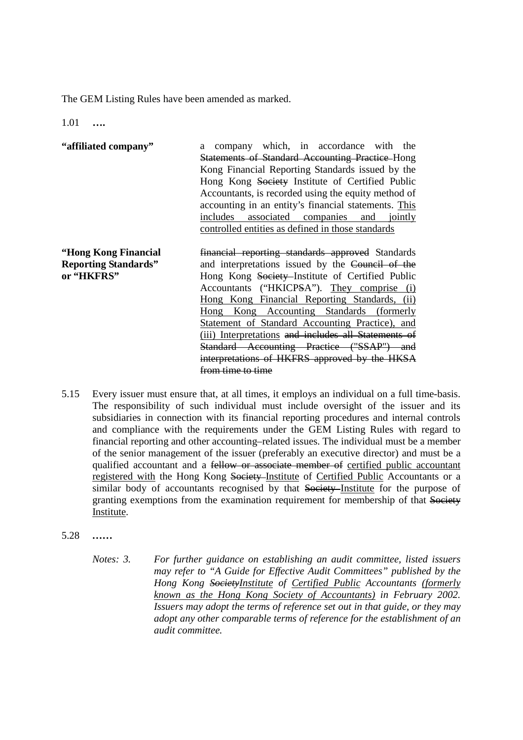The GEM Listing Rules have been amended as marked.

1.01 **….** 

| "affiliated company" | company which, in accordance with the<br>a             |
|----------------------|--------------------------------------------------------|
|                      | <b>Statements of Standard Accounting Practice Hong</b> |
|                      | Kong Financial Reporting Standards issued by the       |
|                      | Hong Kong Society Institute of Certified Public        |
|                      | Accountants, is recorded using the equity method of    |
|                      | accounting in an entity's financial statements. This   |
|                      | includes associated companies and jointly              |
|                      | controlled entities as defined in those standards      |
|                      |                                                        |

**"Hong Kong Financial Reporting Standards" or "HKFRS"**  financial reporting standards approved Standards and interpretations issued by the Council of the Hong Kong Society-Institute of Certified Public Accountants ("HKICPSA"). They comprise (i) Hong Kong Financial Reporting Standards, (ii) Hong Kong Accounting Standards (formerly Statement of Standard Accounting Practice), and (iii) Interpretations and includes all Statements of Standard Accounting Practice ("SSAP") and interpretations of HKFRS approved by the HKSA from time to time

- 5.15 Every issuer must ensure that, at all times, it employs an individual on a full time-basis. The responsibility of such individual must include oversight of the issuer and its subsidiaries in connection with its financial reporting procedures and internal controls and compliance with the requirements under the GEM Listing Rules with regard to financial reporting and other accounting–related issues. The individual must be a member of the senior management of the issuer (preferably an executive director) and must be a qualified accountant and a fellow or associate member of certified public accountant registered with the Hong Kong Society Institute of Certified Public Accountants or a similar body of accountants recognised by that Society Institute for the purpose of granting exemptions from the examination requirement for membership of that Society Institute.
- 5.28 *……* 
	- *Notes: 3. For further guidance on establishing an audit committee, listed issuers may refer to "A Guide for Effective Audit Committees" published by the Hong Kong SocietyInstitute of Certified Public Accountants (formerly known as the Hong Kong Society of Accountants) in February 2002. Issuers may adopt the terms of reference set out in that guide, or they may adopt any other comparable terms of reference for the establishment of an audit committee.*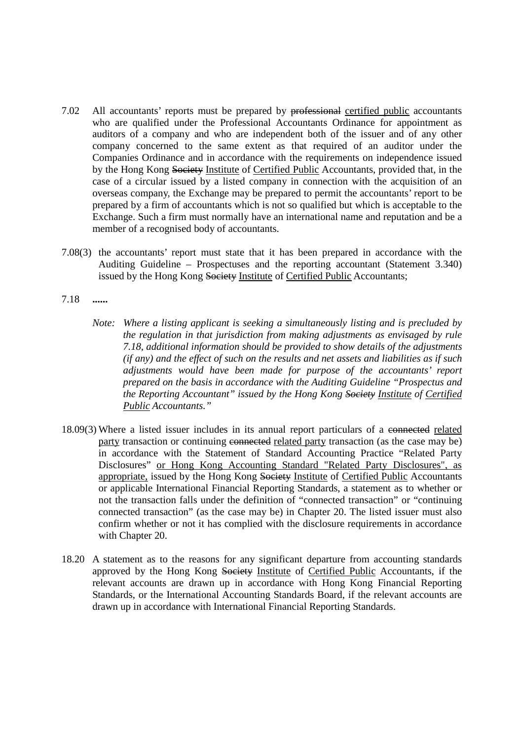- 7.02 All accountants' reports must be prepared by professional certified public accountants who are qualified under the Professional Accountants Ordinance for appointment as auditors of a company and who are independent both of the issuer and of any other company concerned to the same extent as that required of an auditor under the Companies Ordinance and in accordance with the requirements on independence issued by the Hong Kong Society Institute of Certified Public Accountants, provided that, in the case of a circular issued by a listed company in connection with the acquisition of an overseas company, the Exchange may be prepared to permit the accountants' report to be prepared by a firm of accountants which is not so qualified but which is acceptable to the Exchange. Such a firm must normally have an international name and reputation and be a member of a recognised body of accountants.
- 7.08(3) the accountants' report must state that it has been prepared in accordance with the Auditing Guideline – Prospectuses and the reporting accountant (Statement 3.340) issued by the Hong Kong Society Institute of Certified Public Accountants;
- 7.18 **......** 
	- *Note: Where a listing applicant is seeking a simultaneously listing and is precluded by the regulation in that jurisdiction from making adjustments as envisaged by rule 7.18, additional information should be provided to show details of the adjustments (if any) and the effect of such on the results and net assets and liabilities as if such adjustments would have been made for purpose of the accountants' report prepared on the basis in accordance with the Auditing Guideline "Prospectus and the Reporting Accountant" issued by the Hong Kong Society Institute of Certified Public Accountants."*
- 18.09(3) Where a listed issuer includes in its annual report particulars of a connected related party transaction or continuing connected related party transaction (as the case may be) in accordance with the Statement of Standard Accounting Practice "Related Party Disclosures" or Hong Kong Accounting Standard "Related Party Disclosures", as appropriate, issued by the Hong Kong Society Institute of Certified Public Accountants or applicable International Financial Reporting Standards, a statement as to whether or not the transaction falls under the definition of "connected transaction" or "continuing connected transaction" (as the case may be) in Chapter 20. The listed issuer must also confirm whether or not it has complied with the disclosure requirements in accordance with Chapter 20.
- 18.20 A statement as to the reasons for any significant departure from accounting standards approved by the Hong Kong Society Institute of Certified Public Accountants, if the relevant accounts are drawn up in accordance with Hong Kong Financial Reporting Standards, or the International Accounting Standards Board, if the relevant accounts are drawn up in accordance with International Financial Reporting Standards.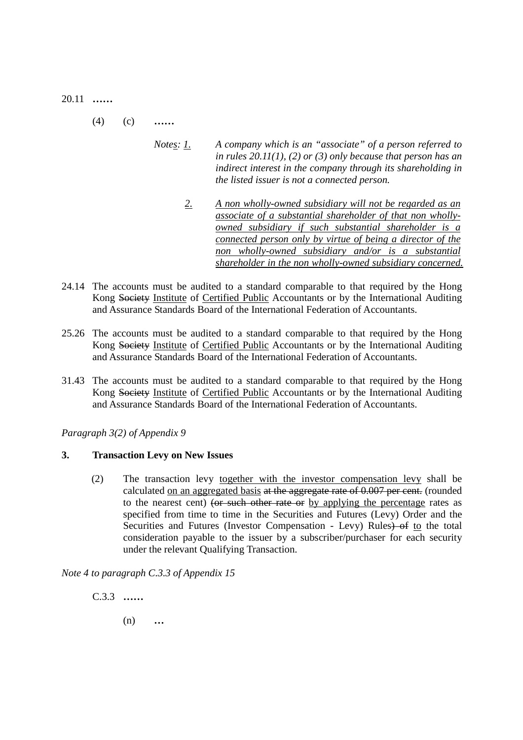20.11 **……**

- (4) (c) **……** 
	- *Notes: 1. A company which is an "associate" of a person referred to in rules 20.11(1), (2) or (3) only because that person has an indirect interest in the company through its shareholding in the listed issuer is not a connected person.* 
		- *2. A non wholly-owned subsidiary will not be regarded as an associate of a substantial shareholder of that non whollyowned subsidiary if such substantial shareholder is a connected person only by virtue of being a director of the non wholly-owned subsidiary and/or is a substantial shareholder in the non wholly-owned subsidiary concerned.*
- 24.14 The accounts must be audited to a standard comparable to that required by the Hong Kong Society Institute of Certified Public Accountants or by the International Auditing and Assurance Standards Board of the International Federation of Accountants.
- 25.26 The accounts must be audited to a standard comparable to that required by the Hong Kong Society Institute of Certified Public Accountants or by the International Auditing and Assurance Standards Board of the International Federation of Accountants.
- 31.43 The accounts must be audited to a standard comparable to that required by the Hong Kong Society Institute of Certified Public Accountants or by the International Auditing and Assurance Standards Board of the International Federation of Accountants.

*Paragraph 3(2) of Appendix 9* 

## **3. Transaction Levy on New Issues**

(2) The transaction levy together with the investor compensation levy shall be calculated on an aggregated basis at the aggregate rate of 0.007 per cent. (rounded to the nearest cent) (or such other rate or by applying the percentage rates as specified from time to time in the Securities and Futures (Levy) Order and the Securities and Futures (Investor Compensation - Levy) Rules) of to the total consideration payable to the issuer by a subscriber/purchaser for each security under the relevant Qualifying Transaction.

*Note 4 to paragraph C.3.3 of Appendix 15*

C.3.3 **……** 

(n) **…**